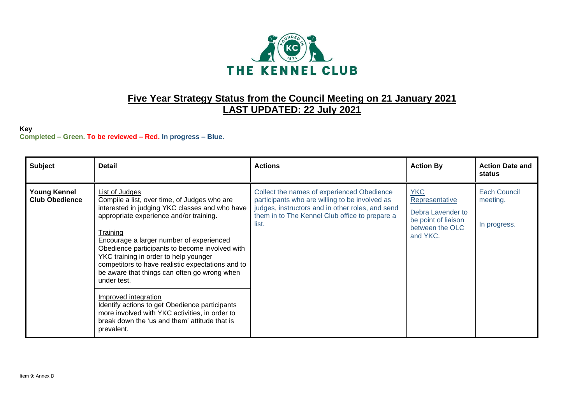

## **Five Year Strategy Status from the Council Meeting on 21 January 2021 LAST UPDATED: 22 July 2021**

## **Key Completed – Green. To be reviewed – Red. In progress – Blue.**

| <b>Subject</b>                               | <b>Detail</b>                                                                                                                                                                                                                                                                                                                                                                                                                      | <b>Actions</b>                                                                                                                                                                                              | <b>Action By</b>                                                                                        | <b>Action Date and</b><br>status         |
|----------------------------------------------|------------------------------------------------------------------------------------------------------------------------------------------------------------------------------------------------------------------------------------------------------------------------------------------------------------------------------------------------------------------------------------------------------------------------------------|-------------------------------------------------------------------------------------------------------------------------------------------------------------------------------------------------------------|---------------------------------------------------------------------------------------------------------|------------------------------------------|
| <b>Young Kennel</b><br><b>Club Obedience</b> | List of Judges<br>Compile a list, over time, of Judges who are<br>interested in judging YKC classes and who have<br>appropriate experience and/or training.<br>Training<br>Encourage a larger number of experienced<br>Obedience participants to become involved with<br>YKC training in order to help younger<br>competitors to have realistic expectations and to<br>be aware that things can often go wrong when<br>under test. | Collect the names of experienced Obedience<br>participants who are willing to be involved as<br>judges, instructors and in other roles, and send<br>them in to The Kennel Club office to prepare a<br>list. | <b>YKC</b><br>Representative<br>Debra Lavender to<br>be point of liaison<br>between the OLC<br>and YKC. | Each Council<br>meeting.<br>In progress. |
|                                              | Improved integration<br>Identify actions to get Obedience participants<br>more involved with YKC activities, in order to<br>break down the 'us and them' attitude that is<br>prevalent.                                                                                                                                                                                                                                            |                                                                                                                                                                                                             |                                                                                                         |                                          |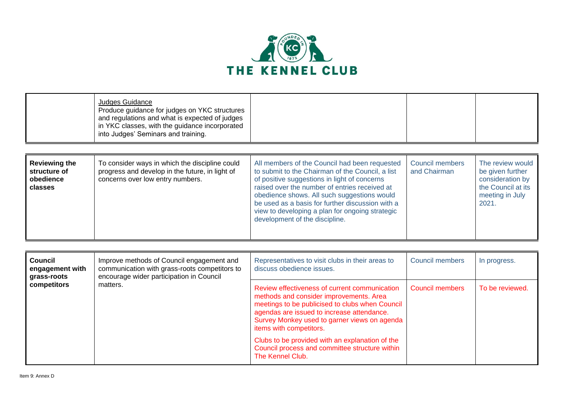

| Judges Guidance<br>Produce guidance for judges on YKC structures<br>and regulations and what is expected of judges<br>in YKC classes, with the guidance incorporated<br>into Judges' Seminars and training. |  |  |
|-------------------------------------------------------------------------------------------------------------------------------------------------------------------------------------------------------------|--|--|
|                                                                                                                                                                                                             |  |  |

| <b>Reviewing the</b><br>structure of<br>obedience<br>classes | To consider ways in which the discipline could<br>progress and develop in the future, in light of<br>concerns over low entry numbers. | All members of the Council had been requested<br>to submit to the Chairman of the Council, a list<br>of positive suggestions in light of concerns<br>raised over the number of entries received at<br>obedience shows. All such suggestions would<br>be used as a basis for further discussion with a<br>view to developing a plan for ongoing strategic<br>development of the discipline. | <b>Council members</b><br>and Chairman | The review would<br>be given further<br>consideration by<br>the Council at its<br>meeting in July<br>2021. |
|--------------------------------------------------------------|---------------------------------------------------------------------------------------------------------------------------------------|--------------------------------------------------------------------------------------------------------------------------------------------------------------------------------------------------------------------------------------------------------------------------------------------------------------------------------------------------------------------------------------------|----------------------------------------|------------------------------------------------------------------------------------------------------------|
|                                                              |                                                                                                                                       |                                                                                                                                                                                                                                                                                                                                                                                            |                                        |                                                                                                            |

| Council<br>engagement with<br>grass-roots | Improve methods of Council engagement and<br>communication with grass-roots competitors to<br>encourage wider participation in Council | Representatives to visit clubs in their areas to<br>discuss obedience issues.                                                                                                                                                                                                                                                                                                                 | Council members | In progress.    |
|-------------------------------------------|----------------------------------------------------------------------------------------------------------------------------------------|-----------------------------------------------------------------------------------------------------------------------------------------------------------------------------------------------------------------------------------------------------------------------------------------------------------------------------------------------------------------------------------------------|-----------------|-----------------|
| competitors                               | matters.                                                                                                                               | Review effectiveness of current communication<br>methods and consider improvements. Area<br>meetings to be publicised to clubs when Council<br>agendas are issued to increase attendance.<br>Survey Monkey used to garner views on agenda<br>items with competitors.<br>Clubs to be provided with an explanation of the<br>Council process and committee structure within<br>The Kennel Club. | Council members | To be reviewed. |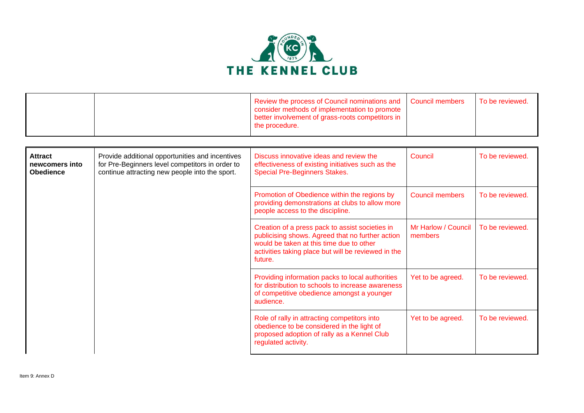

|  | Review the process of Council nominations and Council members<br>consider methods of implementation to promote<br>better involvement of grass-roots competitors in<br>the procedure. | l To be reviewed. |
|--|--------------------------------------------------------------------------------------------------------------------------------------------------------------------------------------|-------------------|
|  |                                                                                                                                                                                      |                   |

| <b>Attract</b><br>newcomers into<br><b>Obedience</b> | Provide additional opportunities and incentives<br>for Pre-Beginners level competitors in order to<br>continue attracting new people into the sport. | Discuss innovative ideas and review the<br>effectiveness of existing initiatives such as the<br><b>Special Pre-Beginners Stakes.</b>                                                                              | Council                        | To be reviewed. |
|------------------------------------------------------|------------------------------------------------------------------------------------------------------------------------------------------------------|-------------------------------------------------------------------------------------------------------------------------------------------------------------------------------------------------------------------|--------------------------------|-----------------|
|                                                      |                                                                                                                                                      | Promotion of Obedience within the regions by<br>providing demonstrations at clubs to allow more<br>people access to the discipline.                                                                               | Council members                | To be reviewed. |
|                                                      |                                                                                                                                                      | Creation of a press pack to assist societies in<br>publicising shows. Agreed that no further action<br>would be taken at this time due to other<br>activities taking place but will be reviewed in the<br>future. | Mr Harlow / Council<br>members | To be reviewed. |
|                                                      |                                                                                                                                                      | Providing information packs to local authorities<br>for distribution to schools to increase awareness<br>of competitive obedience amongst a younger<br>audience.                                                  | Yet to be agreed.              | To be reviewed. |
|                                                      |                                                                                                                                                      | Role of rally in attracting competitors into<br>obedience to be considered in the light of<br>proposed adoption of rally as a Kennel Club<br>regulated activity.                                                  | Yet to be agreed.              | To be reviewed. |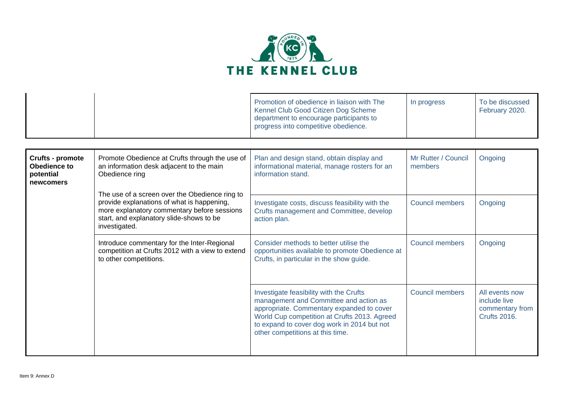

|  | Promotion of obedience in liaison with The<br>Kennel Club Good Citizen Dog Scheme<br>department to encourage participants to<br>progress into competitive obedience. | In progress | To be discussed<br>February 2020. |
|--|----------------------------------------------------------------------------------------------------------------------------------------------------------------------|-------------|-----------------------------------|
|--|----------------------------------------------------------------------------------------------------------------------------------------------------------------------|-------------|-----------------------------------|

| Crufts - promote<br>Obedience to<br>potential<br>newcomers | Promote Obedience at Crufts through the use of<br>an information desk adjacent to the main<br>Obedience ring                                                                                             | Plan and design stand, obtain display and<br>informational material, manage rosters for an<br>information stand.                                                                                                                                                  | Mr Rutter / Council<br>members | Ongoing                                                                  |
|------------------------------------------------------------|----------------------------------------------------------------------------------------------------------------------------------------------------------------------------------------------------------|-------------------------------------------------------------------------------------------------------------------------------------------------------------------------------------------------------------------------------------------------------------------|--------------------------------|--------------------------------------------------------------------------|
|                                                            | The use of a screen over the Obedience ring to<br>provide explanations of what is happening,<br>more explanatory commentary before sessions<br>start, and explanatory slide-shows to be<br>investigated. | Investigate costs, discuss feasibility with the<br>Crufts management and Committee, develop<br>action plan.                                                                                                                                                       | <b>Council members</b>         | Ongoing                                                                  |
|                                                            | Introduce commentary for the Inter-Regional<br>competition at Crufts 2012 with a view to extend<br>to other competitions.                                                                                | Consider methods to better utilise the<br>opportunities available to promote Obedience at<br>Crufts, in particular in the show guide.                                                                                                                             | <b>Council members</b>         | Ongoing                                                                  |
|                                                            |                                                                                                                                                                                                          | Investigate feasibility with the Crufts<br>management and Committee and action as<br>appropriate. Commentary expanded to cover<br>World Cup competition at Crufts 2013. Agreed<br>to expand to cover dog work in 2014 but not<br>other competitions at this time. | <b>Council members</b>         | All events now<br>include live<br>commentary from<br><b>Crufts 2016.</b> |